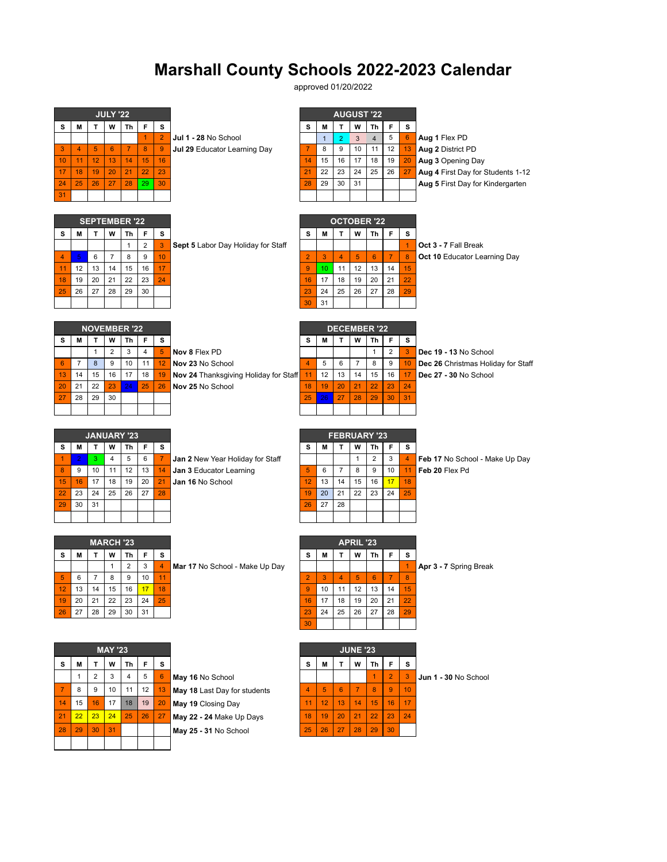## **Marshall County Schools 2022-2023 Calendar**

approved 01/20/2022

|                 |                |                | <b>JULY '22</b>      |                      |                |                      |                                                   |                     |                |                     | <b>AUGUST '22</b> |                |                      |                  |                                     |
|-----------------|----------------|----------------|----------------------|----------------------|----------------|----------------------|---------------------------------------------------|---------------------|----------------|---------------------|-------------------|----------------|----------------------|------------------|-------------------------------------|
| s               | M              | T.             | W                    | Th                   | F              | s                    |                                                   | s                   | M              | T                   | W                 | Th             | F                    | s                |                                     |
|                 |                |                |                      |                      | 1              | $\overline{2}$       | Jul 1 - 28 No School                              |                     | $\mathbf{1}$   | $\overline{2}$      | 3                 | $\overline{4}$ | 5                    | 6 <sup>1</sup>   | Aug 1 Flex PD                       |
| 3               | $\overline{4}$ | 5              | 6                    | $\overline{7}$       | 8              | 9                    | Jul 29 Educator Learning Day                      | $\overline{7}$      | 8              | 9                   | 10                | 11             | 12                   | 13               | Aug 2 District PD                   |
| 10              | 11             | 12             | 13                   | 14                   | 15             | 16                   |                                                   | 14                  | 15             | 16                  | 17                | 18             | 19                   | 20               | Aug 3 Opening Day                   |
| 17              | 18             | 19             | 20                   | 21                   | 22             | 23                   |                                                   | 21                  | 22             | 23                  | 24                | 25             | 26                   | 27               | Aug 4 First Day for Students 1-12   |
| 24              | 25             | 26             | 27                   | 28                   | 29             | 30                   |                                                   | 28                  | 29             | 30                  | 31                |                |                      |                  | Aug 5 First Day for Kindergarten    |
| 31              |                |                |                      |                      |                |                      |                                                   |                     |                |                     |                   |                |                      |                  |                                     |
|                 |                |                |                      |                      |                |                      |                                                   |                     |                |                     |                   |                |                      |                  |                                     |
|                 |                |                |                      | <b>SEPTEMBER '22</b> |                |                      |                                                   |                     |                | <b>OCTOBER '22</b>  |                   |                |                      |                  |                                     |
| s               | M              | т              | W                    | Th                   | F              | s                    |                                                   | s                   | M              | т                   | W                 | Th             | F                    | s                |                                     |
|                 |                |                |                      | $\mathbf{1}$         | $\overline{2}$ | $\overline{3}$       | Sept 5 Labor Day Holiday for Staff                |                     |                |                     |                   |                |                      | $\mathbf{1}$     | Oct 3 - 7 Fall Break                |
| $\overline{4}$  | 5              | 6              | $\overline{7}$<br>14 | 8<br>15              | 9              | 10<br>17             |                                                   | $\overline{2}$<br>9 | 3              | $\overline{4}$      | $\sqrt{5}$<br>12  | 6<br>13        | $\overline{7}$<br>14 | $\boldsymbol{8}$ | <b>Oct 10 Educator Learning Day</b> |
| 11<br>18        | 12<br>19       | 13<br>20       | 21                   | 22                   | 16<br>23       | 24                   |                                                   | 16                  | 10<br>17       | 11<br>18            | 19                | 20             | 21                   | 15<br>22         |                                     |
| 25              | 26             | 27             | 28                   | 29                   | 30             |                      |                                                   | 23                  | 24             | 25                  | 26                | 27             | 28                   | 29               |                                     |
|                 |                |                |                      |                      |                |                      |                                                   | 30                  | 31             |                     |                   |                |                      |                  |                                     |
|                 |                |                |                      |                      |                |                      |                                                   |                     |                |                     |                   |                |                      |                  |                                     |
|                 |                |                |                      | <b>NOVEMBER '22</b>  |                |                      |                                                   |                     |                | <b>DECEMBER '22</b> |                   |                |                      |                  |                                     |
| s               | M              | T              | W                    | Th                   | F              | s                    |                                                   | s                   | M              | T                   | W                 | Th             | F                    | s                |                                     |
|                 |                | $\mathbf{1}$   | $\overline{2}$       | 3                    | $\overline{4}$ | 5 <sup>1</sup>       | Nov 8 Flex PD                                     |                     |                |                     |                   | 1              | $\overline{2}$       | 3                | Dec 19 - 13 No School               |
| $6\phantom{1}6$ | $\overline{7}$ | 8              | 9                    | 10                   | 11             | 12                   | Nov 23 No School                                  | $\overline{4}$      | 5              | 6                   | $\overline{7}$    | 8              | 9                    | 10 <sub>1</sub>  | Dec 26 Christmas Holiday for Staff  |
| 13              | 14             | 15             | 16                   | 17                   | 18             | 19                   | Nov 24 Thanksgiving Holiday for Staff             | 11                  | 12             | 13                  | 14                | 15             | 16                   | 17               | Dec 27 - 30 No School               |
| 20              | 21             | 22             | 23                   | 24                   | 25             | 26                   | Nov 25 No School                                  | 18                  | 19             | 20                  | 21                | 22             | 23                   | 24               |                                     |
| 27              | 28             | 29             | 30                   |                      |                |                      |                                                   | 25                  | 26             | 27                  | 28                | 29             | 30                   | 31               |                                     |
|                 |                |                |                      |                      |                |                      |                                                   |                     |                |                     |                   |                |                      |                  |                                     |
|                 |                |                |                      |                      |                |                      |                                                   |                     |                |                     |                   |                |                      |                  |                                     |
|                 |                |                |                      | <b>JANUARY '23</b>   |                |                      |                                                   |                     |                | <b>FEBRUARY '23</b> |                   |                |                      |                  |                                     |
| s               | M              | Т              | W                    | Τh                   | F              | s                    |                                                   | s                   | M              | т                   | W                 | Th             | F                    | s                |                                     |
|                 | $\overline{2}$ | 3              | $\overline{4}$       | 5                    | 6              | $\overline{7}$       | Jan 2 New Year Holiday for Staff                  |                     |                |                     | $\mathbf{1}$      | $\overline{2}$ | 3                    | $\overline{4}$   | Feb 17 No School - Make Up Day      |
| -1              |                |                |                      | 12                   | 13             | 14                   | Jan 3 Educator Learning                           | 5                   | 6              | $\overline{7}$      | 8                 | 9              | 10                   | 11               | Feb 20 Flex Pd                      |
| 8               | 9              | 10             | 11                   |                      |                |                      |                                                   |                     |                |                     |                   |                |                      |                  |                                     |
| 15              | 16             | 17             | 18                   | 19                   | 20             | 21                   | Jan 16 No School                                  | 12                  | 13             | 14                  | 15                | 16             | 17                   | 18               |                                     |
| 22              | 23             | 24             | 25                   | 26                   | 27             | 28                   |                                                   | 19                  | 20             | 21                  | 22                | 23             | 24                   | 25               |                                     |
| 29              | 30             | 31             |                      |                      |                |                      |                                                   | 26                  | 27             | 28                  |                   |                |                      |                  |                                     |
|                 |                |                |                      |                      |                |                      |                                                   |                     |                |                     |                   |                |                      |                  |                                     |
|                 |                |                |                      |                      |                |                      |                                                   |                     |                |                     |                   |                |                      |                  |                                     |
|                 |                |                | MARCH '23            |                      |                |                      |                                                   |                     |                |                     | <b>APRIL '23</b>  |                |                      |                  |                                     |
| s               | M              | т              | W                    | Τh                   | F              | s                    |                                                   | s                   | М              | т                   | W                 | Th             | F                    | s                |                                     |
| 5               | 6              | $\overline{7}$ | $\mathbf{1}$<br>8    | $\overline{2}$<br>9  | 3<br>10        | $\overline{4}$<br>11 | Mar 17 No School - Make Up Day                    | $\overline{2}$      | 3              | $\overline{4}$      | 5                 | 6              | $\overline{7}$       | 1<br>8           | Apr 3 - 7 Spring Break              |
| 12              | 13             | 14             | 15                   | 16                   | 17             | 18                   |                                                   | 9                   | 10             | 11                  | 12                | 13             | 14                   | 15               |                                     |
| 19              | 20             | 21             | 22                   | 23                   | 24             | 25                   |                                                   | 16                  | 17             | 18                  | 19                | 20             | 21                   | 22               |                                     |
| 26              | 27             | 28             | 29                   | 30                   | 31             |                      |                                                   | 23                  | 24             | 25                  | 26                | 27             | 28                   | 29               |                                     |
|                 |                |                |                      |                      |                |                      |                                                   | 30                  |                |                     |                   |                |                      |                  |                                     |
|                 |                |                |                      |                      |                |                      |                                                   |                     |                |                     |                   |                |                      |                  |                                     |
|                 |                |                | <b>MAY '23</b>       |                      |                |                      |                                                   |                     |                |                     | <b>JUNE '23</b>   |                |                      |                  |                                     |
| s               | M              | т              | W                    | Τh                   | F              | s                    |                                                   | s                   | M              | т                   | W                 | Th             | F                    | s                |                                     |
|                 | 1              | 2              | 3                    | 4                    | 5              | 6 <sup>1</sup>       | May 16 No School                                  |                     |                |                     |                   | $\mathbf{1}$   | $\overline{2}$       | 3 <sup>2</sup>   | Jun 1 - 30 No School                |
| $\overline{7}$  | 8              | 9              | 10                   | 11                   | 12             | 13 <sub>1</sub>      |                                                   | 4                   | 5 <sub>5</sub> | 6 <sup>°</sup>      | $\overline{7}$    | 8              | 9                    | 10               |                                     |
| 14              | 15             | 16             | 17                   | 18                   | 19             |                      | May 18 Last Day for students                      | 11                  | 12             | 13                  | 14                | 15             | 16                   |                  |                                     |
|                 |                |                |                      |                      |                | 20                   | May 19 Closing Day                                |                     |                |                     |                   |                |                      | 17               |                                     |
| 21<br>28        | 22<br>29       | 23<br>30       | 24<br>31             | 25                   | 26             | 27                   | May 22 - 24 Make Up Days<br>May 25 - 31 No School | 18<br>25            | 19<br>26       | 20<br>27            | 21<br>28          | 22<br>29       | 23<br>30             | 24               |                                     |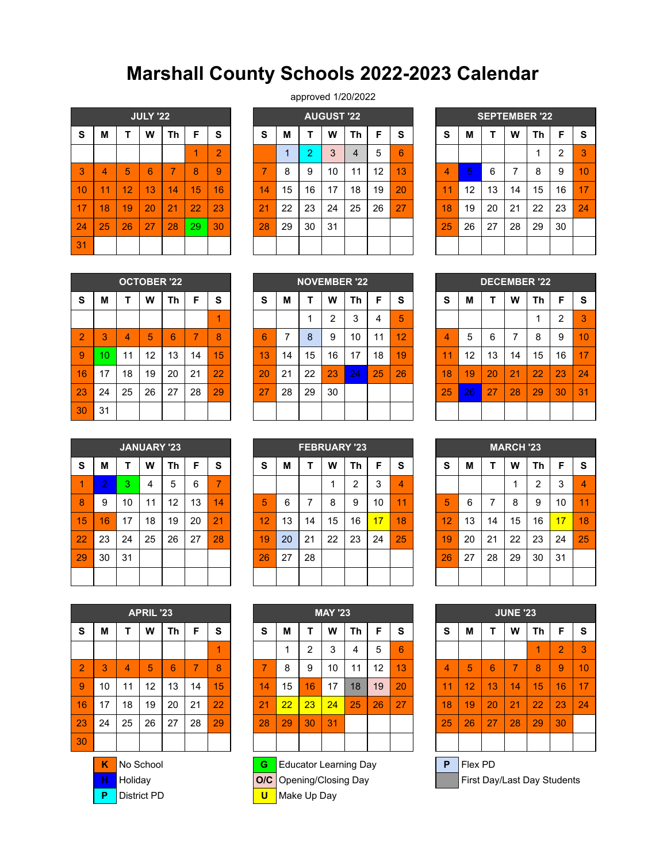## **Marshall County Schools 2022-2023 Calendar**

|    |                |    | <b>JULY '22</b> |                |    |                |
|----|----------------|----|-----------------|----------------|----|----------------|
| S  | M              | T  | W               | <b>Th</b>      | F  | S              |
|    |                |    |                 |                | 1  | $\overline{2}$ |
| 3  | $\overline{4}$ | 5  | 6               | $\overline{7}$ | 8  | 9              |
| 10 | 11             | 12 | 13              | 14             | 15 | 16             |
| 17 | 18             | 19 | 20              | 21             | 22 | 23             |
| 24 | 25             | 26 | 27              | 28             | 29 | 30             |
| 31 |                |    |                 |                |    |                |

approved 1/20/2022

|    |    |    | <b>JULY '22</b> |                |    |    |    |    |    | <b>AUGUST '22</b> |    |    |    |        |    |    |    | <b>SEPTEMBER '22</b> |                |          |
|----|----|----|-----------------|----------------|----|----|----|----|----|-------------------|----|----|----|--------|----|----|----|----------------------|----------------|----------|
| S  | М  |    | W               | Τh             | F  | S  | S  | M  |    | W                 | Τh | F  | S  | S      | м  |    | W  | Th                   | F              | <b>S</b> |
|    |    |    |                 |                |    | 2  |    | 4  | റ  | 3                 | 4  | 5  | 6  |        |    |    |    |                      | $\overline{2}$ | 3        |
| 3  | 4  | 5  | 6               | ⇁              | 8  | 9  | 7  | 8  | 9  | 10                | 11 | 12 | 13 | 4      | 5  | 6  | ⇁  | 8                    | 9              | 10       |
| 10 | T. | 12 | 13              | 14             | 15 | 16 | 14 | 15 | 16 | 17                | 18 | 19 | 20 | 1<br>1 | 12 | 13 | 14 | 15                   | 16             | 17       |
| 17 | 18 | 19 | 20              | 2 <sub>1</sub> | 22 | 23 | 21 | 22 | 23 | 24                | 25 | 26 | 27 | 18     | 19 | 20 | 21 | 22                   | 23             | 24       |
| 24 | 25 | 26 | 27              | 28             | 29 | 30 | 28 | 29 | 30 | 31                |    |    |    | 25     | 26 | 27 | 28 | 29                   | 30             |          |
| 31 |    |    |                 |                |    |    |    |    |    |                   |    |    |    |        |    |    |    |                      |                |          |

|           |    | <b>SEPTEMBER '22</b> |                |           |                |           |
|-----------|----|----------------------|----------------|-----------|----------------|-----------|
| ${\bf S}$ | М  | T                    | W              | <b>Th</b> | F              | ${\bf S}$ |
|           |    |                      |                | 1         | $\overline{2}$ | 3         |
| 4         | 5  | 6                    | $\overline{7}$ | 8         | 9              | 10        |
| 11        | 12 | 13                   | 14             | 15        | 16             | 17        |
| 18        | 19 | 20                   | 21             | 22        | 23             | 24        |
| 25        | 26 | 27                   | 28             | 29        | 30             |           |
|           |    |                      |                |           |                |           |

|                |    |    | <b>OCTOBER '22</b> |           |                |           |
|----------------|----|----|--------------------|-----------|----------------|-----------|
| ${\bf S}$      | М  | т  | W                  | <b>Th</b> | F              | ${\bf S}$ |
|                |    |    |                    |           |                | 1         |
| $\overline{2}$ | 3  | 4  | 5                  | 6         | $\overline{7}$ | 8         |
| 9              | 10 | 11 | 12                 | 13        | 14             | 15        |
| 16             | 17 | 18 | 19                 | 20        | 21             | 22        |
| 23             | 24 | 25 | 26                 | 27        | 28             | 29        |
| 30             | 31 |    |                    |           |                |           |

|                |                |                | <b>OCTOBER '22</b> |    |    |    |    |                          |    |    | <b>NOVEMBER '22</b> |    |    |        |    |    |    | <b>DECEMBER '22</b> |    |          |
|----------------|----------------|----------------|--------------------|----|----|----|----|--------------------------|----|----|---------------------|----|----|--------|----|----|----|---------------------|----|----------|
| S              | М              |                | W                  | Th | F  | S  | S  | M                        |    | W  | Τh                  | F  | S  | S      | М  |    | W  | Th                  | F  | <b>S</b> |
|                |                |                |                    |    |    | 4  |    |                          |    | ົ  | 3                   | 4  | 5  |        |    |    |    |                     | 2  | 3        |
| $\overline{2}$ | Q<br>o         | $\overline{4}$ | 5                  | 6  | 7  | 8  | 6  | $\overline{\phantom{a}}$ | 8  | 9  | 10                  | 11 | 12 | Δ      | 5  | 6  |    | 8                   | 9  | 10       |
| 9              | $\overline{0}$ | 11             | 12                 | 13 | 14 | 15 | 13 | 14                       | 15 | 16 | 17                  | 18 | 19 | ٠<br>1 | 12 | 13 | 14 | 15                  | 16 | 17       |
| 16             | 17             | 18             | 19                 | 20 | 21 | 22 | 20 | 21                       | 22 | 23 | 24                  | 25 | 26 | 18     | 19 | 20 | 21 | 22                  | 23 | 24       |
| 23             | 24             | 25             | 26                 | 27 | 28 | 29 | 27 | 28                       | 29 | 30 |                     |    |    | 25     | 26 | 27 | 28 | 29                  | 30 | 31       |
| 30             | 31             |                |                    |    |    |    |    |                          |    |    |                     |    |    |        |    |    |    |                     |    |          |

|                |    |    |                | <b>DECEMBER '22</b> |    |    |
|----------------|----|----|----------------|---------------------|----|----|
| $\mathbf s$    | М  | т  | W              | <b>Th</b>           | F  | S  |
|                |    |    |                | 1                   | 2  | 3  |
| $\overline{4}$ | 5  | 6  | $\overline{7}$ | 8                   | 9  | 10 |
| 11             | 12 | 13 | 14             | 15                  | 16 | 17 |
| 18             | 19 | 20 | 21             | 22                  | 23 | 24 |
| 25             | 26 | 27 | 28             | 29                  | 30 | 31 |
|                |    |    |                |                     |    |    |

|    |            |    | <b>JANUARY '23</b> |                   |    |    |    |    | <b>FEBRUARY '23</b> |    |    |    |    |    |    |    | <b>MARCH '23</b> |    |    |    |
|----|------------|----|--------------------|-------------------|----|----|----|----|---------------------|----|----|----|----|----|----|----|------------------|----|----|----|
| S  | M          |    | W                  | Th                | F  | S  | S  | M  |                     | W  | Th | F  | S  | S  | M  |    | W                | Th | F  | S  |
| 1  | $\sqrt{2}$ | 3  | 4                  | 5                 | 6  | ⇁  |    |    |                     |    | ົ  | 3  | 4  |    |    |    |                  | ◠  | 3  | 4  |
| 8  | 9          | 10 | 11                 | $12 \overline{ }$ | 13 | 14 | 5  | 6  |                     | 8  | 9  | 10 | 44 | 5  | 6  |    | 8                | 9  | 10 | 11 |
| 15 | 16         | 17 | 18                 | 19                | 20 | 21 | 12 | 13 | 14                  | 15 | 16 | 17 | 18 | 12 | 13 | 14 | 15               | 16 | 17 | 18 |
| 22 | 23         | 24 | 25                 | 26                | 27 | 28 | 19 | 20 | 21                  | 22 | 23 | 24 | 25 | 19 | 20 | 21 | 22               | 23 | 24 | 25 |
| 29 | 30         | 31 |                    |                   |    |    | 26 | 27 | 28                  |    |    |    |    | 26 | 27 | 28 | 29               | 30 | 31 |    |
|    |            |    |                    |                   |    |    |    |    |                     |    |    |    |    |    |    |    |                  |    |    |    |

| $\mathbf s$ | М  | т  | W  | Th | F  | S              |
|-------------|----|----|----|----|----|----------------|
|             |    |    |    | 2  | 3  | $\overline{A}$ |
| 5           | 6  | 7  | 8  | 9  | 10 | 11             |
| 12          | 13 | 14 | 15 | 16 | 17 | 18             |
| 19          | 20 | 21 | 22 | 23 | 24 | 25             |
| 26          | 27 | 28 |    |    |    |                |
|             |    |    |    |    |    |                |
|             |    |    |    |    |    |                |

|                |    |    | <b>APRIL '23</b> |    |    |    |    |    |    | <b>MAY '23</b> |    |    |    |    |    |    | <b>JUNE '23</b> |                 |                |
|----------------|----|----|------------------|----|----|----|----|----|----|----------------|----|----|----|----|----|----|-----------------|-----------------|----------------|
| <b>S</b>       | М  | т  | W                | Th | F  | S  | S  | M  |    | W              | Th | F  | S  | S  | М  |    | W               | Τh              | F              |
|                |    |    |                  |    |    | и  |    | ۸  | 2  | 3              | 4  | 5  | 6  |    |    |    |                 | 1               | $\overline{2}$ |
| $\overline{2}$ | 3  | 4  | 5                | 6  | 7  | 8  | ⇁  | 8  | 9  | 10             | 11 | 12 | 13 | 4  | 5  | 6  | 7               | 8               | 9              |
| 9              | 10 | 11 | 12               | 13 | 14 | 15 | 14 | 15 | 16 | 17             | 18 | 19 | 20 | 11 | 12 | 13 | 14              | $\overline{15}$ | 16             |
| 16             | 17 | 18 | 19               | 20 | 21 | 22 | 21 | 22 | 23 | 24             | 25 | 26 | 27 | 18 | 19 | 20 | 21              | 22              | 23             |
| 23             | 24 | 25 | 26               | 27 | 28 | 29 | 28 | 29 | 30 | 31             |    |    |    | 25 | 26 | 27 | 28              | 29              | 30             |
| 30             |    |    |                  |    |    |    |    |    |    |                |    |    |    |    |    |    |                 |                 |                |



| ${\bf S}$      | M  | T                       | W  | <b>Th</b> | F  | ${\bf S}$      |
|----------------|----|-------------------------|----|-----------|----|----------------|
|                | 1  | $\overline{\mathbf{c}}$ | 3  | 4         | 5  | $6\phantom{1}$ |
| $\overline{7}$ | 8  | 9                       | 10 | 11        | 12 | 13             |
| 14             | 15 | 16                      | 17 | 18        | 19 | 20             |
| 21             | 22 | 23                      | 24 | 25        | 26 | 27             |
| 28             | 29 | 30                      | 31 |           |    |                |
|                |    |                         |    |           |    |                |
|                |    |                         |    |           |    |                |

**K** No School **G** Educator Learning Day **P** Flex PD

**P** District PD **U** Make Up Day

|             |    |                | <b>MARCH '23</b> |                |    |    |
|-------------|----|----------------|------------------|----------------|----|----|
| $\mathbf s$ | М  | T              | W                | <b>Th</b>      | F  | S  |
|             |    |                | 1                | $\overline{c}$ | 3  | 4  |
| 5           | 6  | $\overline{7}$ | 8                | 9              | 10 | 11 |
| 12          | 13 | 14             | 15               | 16             | 17 | 18 |
| 19          | 20 | 21             | 22               | 23             | 24 | 25 |
| 26          | 27 | 28             | 29               | 30             | 31 |    |
|             |    |                |                  |                |    |    |

| <b>APRIL '23</b><br>S<br>W<br>F<br>S<br>М<br>Τh<br>4<br>5<br>$\overline{7}$<br>$\overline{2}$<br>3<br>6<br>8<br>4<br>9<br>15<br>$12 \overline{ }$<br>10<br>13<br>11<br>14<br>16<br>19<br>17<br>20<br>22<br>18<br>21 |    |    |    |    |    |    | <b>MAY '23</b> |    |    |    |    |    |    |  | <b>JUNE '23</b> |    |    |                 |    |                 |    |  |  |
|---------------------------------------------------------------------------------------------------------------------------------------------------------------------------------------------------------------------|----|----|----|----|----|----|----------------|----|----|----|----|----|----|--|-----------------|----|----|-----------------|----|-----------------|----|--|--|
|                                                                                                                                                                                                                     |    |    |    |    |    |    | S              | M  |    | W  | Th | F  | S  |  | S               | М  |    | W               | Τh | F               | S  |  |  |
|                                                                                                                                                                                                                     |    |    |    |    |    |    |                |    | 2  | 3  | 4  | 5  | 6  |  |                 |    |    |                 |    | $\overline{2}$  | 3  |  |  |
|                                                                                                                                                                                                                     |    |    |    |    |    |    | ⇁              | 8  | 9  | 10 | 11 | 12 | 13 |  | 4               | 5  | 6  | 7               | 8  | 9               | 10 |  |  |
|                                                                                                                                                                                                                     |    |    |    |    |    |    | 14             | 15 | 16 | 17 | 18 | 19 | 20 |  | 11              | 12 | 13 | $\overline{14}$ | 15 | 16              | 17 |  |  |
|                                                                                                                                                                                                                     |    |    |    |    |    |    | 2 <sub>1</sub> | 22 | 23 | 24 | 25 | 26 | 27 |  | 18              | 19 | 20 | 21              | 22 | 23              | 24 |  |  |
| 23                                                                                                                                                                                                                  | 24 | 25 | 26 | 27 | 28 | 29 | 28             | 29 | 30 | 31 |    |    |    |  | 25              | 26 | 27 | 28              | 29 | 30 <sup>°</sup> |    |  |  |
| 30                                                                                                                                                                                                                  |    |    |    |    |    |    |                |    |    |    |    |    |    |  |                 |    |    |                 |    |                 |    |  |  |

**H** Holiday **O/C** Opening/Closing Day **First Day/Last Day Students**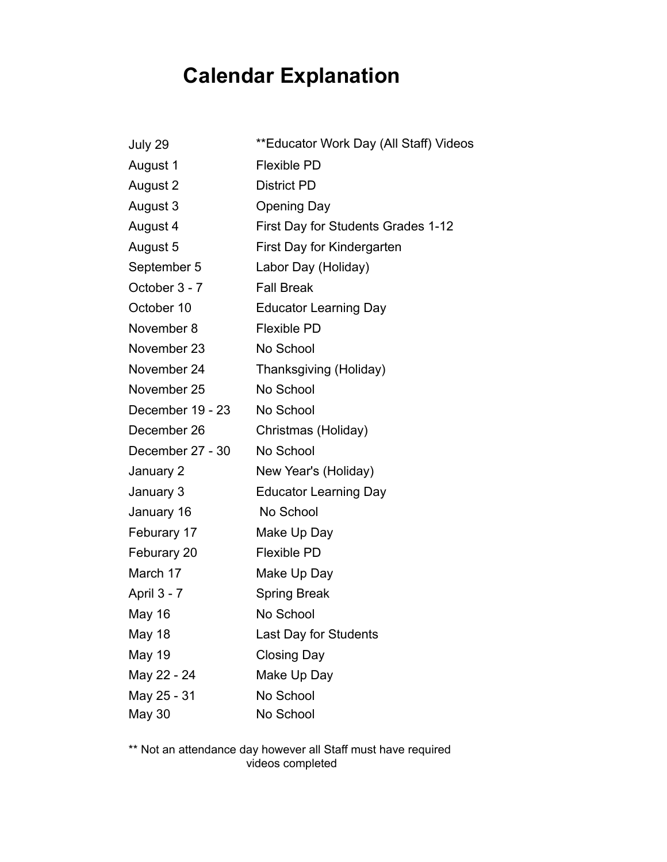## **Calendar Explanation**

| July 29          | **Educator Work Day (All Staff) Videos |
|------------------|----------------------------------------|
| August 1         | <b>Flexible PD</b>                     |
| August 2         | <b>District PD</b>                     |
| August 3         | <b>Opening Day</b>                     |
| August 4         | First Day for Students Grades 1-12     |
| August 5         | First Day for Kindergarten             |
| September 5      | Labor Day (Holiday)                    |
| October 3 - 7    | <b>Fall Break</b>                      |
| October 10       | <b>Educator Learning Day</b>           |
| November 8       | <b>Flexible PD</b>                     |
| November 23      | No School                              |
| November 24      | Thanksgiving (Holiday)                 |
| November 25      | No School                              |
| December 19 - 23 | No School                              |
| December 26      | Christmas (Holiday)                    |
| December 27 - 30 | No School                              |
| January 2        | New Year's (Holiday)                   |
| January 3        | <b>Educator Learning Day</b>           |
| January 16       | No School                              |
| Feburary 17      | Make Up Day                            |
| Feburary 20      | <b>Flexible PD</b>                     |
| March 17         | Make Up Day                            |
| April 3 - 7      | <b>Spring Break</b>                    |
| <b>May 16</b>    | No School                              |
| May 18           | Last Day for Students                  |
| <b>May 19</b>    | <b>Closing Day</b>                     |
| May 22 - 24      | Make Up Day                            |
| May 25 - 31      | No School                              |
| May 30           | No School                              |

\*\* Not an attendance day however all Staff must have required videos completed